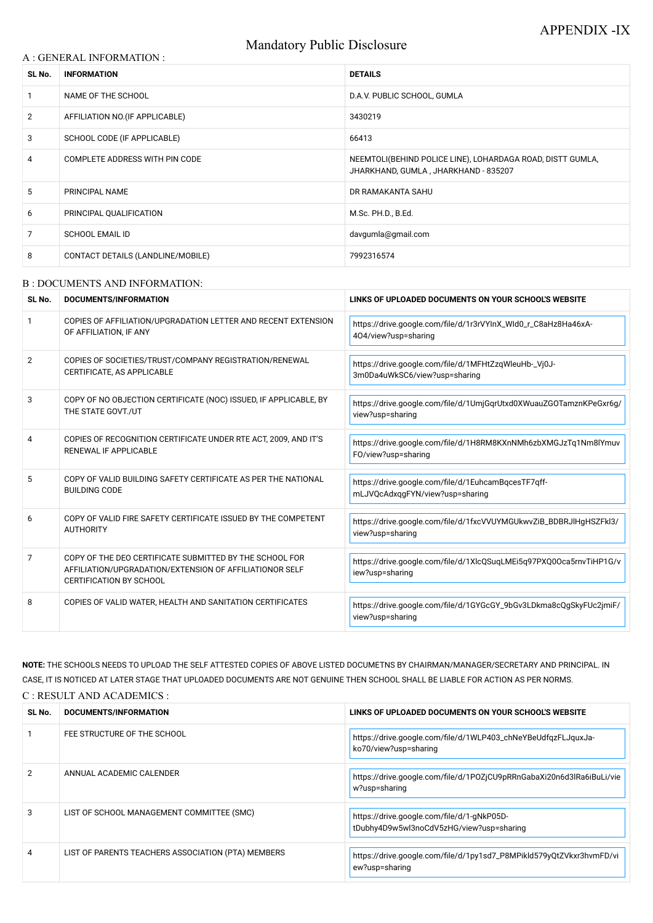# Mandatory Public Disclosure

#### A : GENERAL INFORMATION :

| SL No.         | <b>INFORMATION</b>                | <b>DETAILS</b>                                                                                     |  |
|----------------|-----------------------------------|----------------------------------------------------------------------------------------------------|--|
|                | NAME OF THE SCHOOL                | D.A.V. PUBLIC SCHOOL, GUMLA                                                                        |  |
| $\overline{2}$ | AFFILIATION NO. (IF APPLICABLE)   | 3430219                                                                                            |  |
| 3              | SCHOOL CODE (IF APPLICABLE)       | 66413                                                                                              |  |
| 4              | COMPLETE ADDRESS WITH PIN CODE    | NEEMTOLI(BEHIND POLICE LINE), LOHARDAGA ROAD, DISTT GUMLA,<br>JHARKHAND, GUMLA, JHARKHAND - 835207 |  |
| 5              | PRINCIPAL NAME                    | DR RAMAKANTA SAHU                                                                                  |  |
| 6              | PRINCIPAL QUALIFICATION           | M.Sc. PH.D., B.Ed.                                                                                 |  |
| 7              | <b>SCHOOL EMAIL ID</b>            | davgumla@gmail.com                                                                                 |  |
| 8              | CONTACT DETAILS (LANDLINE/MOBILE) | 7992316574                                                                                         |  |

#### B : DOCUMENTS AND INFORMATION:

| SL No.         | <b>DOCUMENTS/INFORMATION</b>                                                                                                                         | LINKS OF UPLOADED DOCUMENTS ON YOUR SCHOOL'S WEBSITE                                   |
|----------------|------------------------------------------------------------------------------------------------------------------------------------------------------|----------------------------------------------------------------------------------------|
|                | COPIES OF AFFILIATION/UPGRADATION LETTER AND RECENT EXTENSION<br>OF AFFILIATION, IF ANY                                                              | https://drive.google.com/file/d/1r3rVYInX_WId0_r_C8aHz8Ha46xA-<br>404/view?usp=sharing |
| $\overline{2}$ | COPIES OF SOCIETIES/TRUST/COMPANY REGISTRATION/RENEWAL<br>CERTIFICATE, AS APPLICABLE                                                                 | https://drive.google.com/file/d/1MFHtZzqWleuHb-_Vj0J-<br>3m0Da4uWkSC6/view?usp=sharing |
| 3              | COPY OF NO OBJECTION CERTIFICATE (NOC) ISSUED, IF APPLICABLE, BY<br>THE STATE GOVT./UT                                                               | https://drive.google.com/file/d/1UmjGqrUtxd0XWuauZGOTamznKPeGxr6g/<br>view?usp=sharing |
| 4              | COPIES OF RECOGNITION CERTIFICATE UNDER RTE ACT, 2009, AND IT'S<br><b>RENEWAL IF APPLICABLE</b>                                                      | https://drive.google.com/file/d/1H8RM8KXnNMh6zbXMGJzTq1Nm8lYmuv<br>FO/view?usp=sharing |
| 5              | COPY OF VALID BUILDING SAFETY CERTIFICATE AS PER THE NATIONAL<br><b>BUILDING CODE</b>                                                                | https://drive.google.com/file/d/1EuhcamBqcesTF7qff-<br>mLJVQcAdxqgFYN/view?usp=sharing |
| 6              | COPY OF VALID FIRE SAFETY CERTIFICATE ISSUED BY THE COMPETENT<br><b>AUTHORITY</b>                                                                    | https://drive.google.com/file/d/1fxcVVUYMGUkwvZiB_BDBRJlHgHSZFkl3/<br>view?usp=sharing |
| $\overline{7}$ | COPY OF THE DEO CERTIFICATE SUBMITTED BY THE SCHOOL FOR<br>AFFILIATION/UPGRADATION/EXTENSION OF AFFILIATIONOR SELF<br><b>CERTIFICATION BY SCHOOL</b> | https://drive.google.com/file/d/1XlcQSuqLMEi5q97PXQ0Oca5rnvTiHP1G/v<br>iew?usp=sharing |
| 8              | COPIES OF VALID WATER, HEALTH AND SANITATION CERTIFICATES                                                                                            | https://drive.google.com/file/d/1GYGcGY_9bGv3LDkma8cQgSkyFUc2jmiF/<br>view?usp=sharing |

**NOTE:** THE SCHOOLS NEEDS TO UPLOAD THE SELF ATTESTED COPIES OF ABOVE LISTED DOCUMETNS BY CHAIRMAN/MANAGER/SECRETARY AND PRINCIPAL. IN CASE, IT IS NOTICED AT LATER STAGE THAT UPLOADED DOCUMENTS ARE NOT GENUINE THEN SCHOOL SHALL BE LIABLE FOR ACTION AS PER NORMS. C : RESULT AND ACADEMICS :

| SL No. | DOCUMENTS/INFORMATION                              | LINKS OF UPLOADED DOCUMENTS ON YOUR SCHOOL'S WEBSITE                                   |
|--------|----------------------------------------------------|----------------------------------------------------------------------------------------|
|        | FEE STRUCTURE OF THE SCHOOL                        | https://drive.google.com/file/d/1WLP403_chNeYBeUdfqzFLJquxJa-<br>ko70/view?usp=sharing |
|        | ANNUAL ACADEMIC CALENDER                           | https://drive.google.com/file/d/1P0ZjCU9pRRnGabaXi20n6d3lRa6iBuLi/vie<br>w?usp=sharing |
| 3      | LIST OF SCHOOL MANAGEMENT COMMITTEE (SMC)          | https://drive.google.com/file/d/1-gNkP05D-<br>tDubhy4D9w5wl3noCdV5zHG/view?usp=sharing |
| 4      | LIST OF PARENTS TEACHERS ASSOCIATION (PTA) MEMBERS | https://drive.google.com/file/d/1py1sd7_P8MPikld579yQtZVkxr3hvmFD/vi<br>ew?usp=sharing |